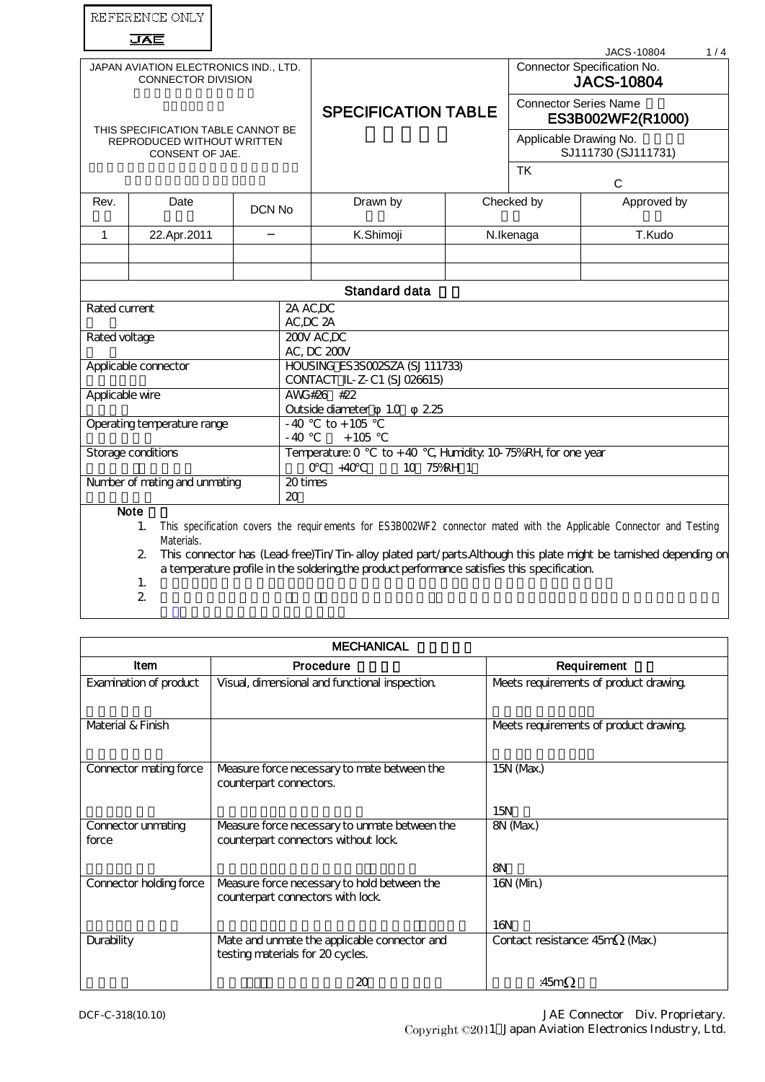|                                                                                     | REFERENCE ONLY                                  |                                                                     |                                                                                              |                                    |                                                   |                                                                                                                                                                                                                                          |
|-------------------------------------------------------------------------------------|-------------------------------------------------|---------------------------------------------------------------------|----------------------------------------------------------------------------------------------|------------------------------------|---------------------------------------------------|------------------------------------------------------------------------------------------------------------------------------------------------------------------------------------------------------------------------------------------|
|                                                                                     | JAE                                             |                                                                     |                                                                                              |                                    |                                                   | <b>JACS-10804</b><br>1/4                                                                                                                                                                                                                 |
| JAPAN AVIATION ELECTRONICS IND., LTD.<br><b>CONNECTOR DIVISION</b>                  |                                                 |                                                                     |                                                                                              |                                    |                                                   | Connector Specification No.<br><b>JACS-10804</b>                                                                                                                                                                                         |
| THIS SPECIFICATION TABLE CANNOT BE<br>REPRODUCED WITHOUT WRITTEN<br>CONSENT OF JAE. |                                                 |                                                                     | <b>SPECIFICATION TABLE</b>                                                                   |                                    | <b>Connector Series Name</b><br>ES3B002WF2(R1000) |                                                                                                                                                                                                                                          |
|                                                                                     |                                                 |                                                                     |                                                                                              |                                    | Applicable Drawing No.<br>SJ111730 (SJ111731)     |                                                                                                                                                                                                                                          |
|                                                                                     |                                                 |                                                                     |                                                                                              |                                    | <b>TK</b><br>C                                    |                                                                                                                                                                                                                                          |
| Rev.                                                                                | Date                                            | DCN No                                                              | Drawn by                                                                                     |                                    | Checked by                                        | Approved by                                                                                                                                                                                                                              |
| $\mathbf{1}$                                                                        | 22.Apr.2011                                     |                                                                     | K.Shimoji                                                                                    |                                    | N.Ikenaga                                         | T.Kudo                                                                                                                                                                                                                                   |
|                                                                                     |                                                 |                                                                     |                                                                                              |                                    |                                                   |                                                                                                                                                                                                                                          |
|                                                                                     |                                                 |                                                                     |                                                                                              |                                    |                                                   |                                                                                                                                                                                                                                          |
|                                                                                     |                                                 |                                                                     | <b>Standard data</b>                                                                         |                                    |                                                   |                                                                                                                                                                                                                                          |
| Rated current                                                                       |                                                 |                                                                     | 2A AC,DC<br>AC,DC 2A                                                                         |                                    |                                                   |                                                                                                                                                                                                                                          |
| Rated voltage                                                                       |                                                 | 200V AC,DC<br>AC, DC 200V                                           |                                                                                              |                                    |                                                   |                                                                                                                                                                                                                                          |
| Applicable connector                                                                |                                                 |                                                                     | HOUSING ES3SOO2SZA (SJ111733)<br>CONTACT IL-Z-C1 (SJ026615)                                  |                                    |                                                   |                                                                                                                                                                                                                                          |
| Applicable wire                                                                     |                                                 |                                                                     | AWG#26 #22                                                                                   |                                    |                                                   |                                                                                                                                                                                                                                          |
|                                                                                     |                                                 | $-40$                                                               | Outside diameter<br>225<br>1.0<br>$to + 105$                                                 |                                    |                                                   |                                                                                                                                                                                                                                          |
| Operating temperature range                                                         |                                                 | $-40$                                                               | $+105$                                                                                       |                                    |                                                   |                                                                                                                                                                                                                                          |
| Storage conditions                                                                  |                                                 | Temperature: 0<br>$to + 40$<br>$\Omega$<br>$+40$<br>10 <sup>1</sup> | 75%RH 1                                                                                      | , Humidity. 10-75%RH, for one year |                                                   |                                                                                                                                                                                                                                          |
| 20 times<br>Number of mating and unmating<br>20                                     |                                                 |                                                                     |                                                                                              |                                    |                                                   |                                                                                                                                                                                                                                          |
|                                                                                     | <b>Note</b><br>1.<br>Materials.<br>$\mathbf{2}$ |                                                                     | a temperature profile in the soldering the product performance satisfies this specification. |                                    |                                                   | This specification covers the requirements for ES3B002WF2 connector mated with the Applicable Connector and Testing<br>This connector has (Lead free)Tin/Tin-alloy plated part/parts. Although this plate might be tamished depending on |

1.

2.

| <b>MECHANICAL</b>           |                                                                                      |                                            |  |
|-----------------------------|--------------------------------------------------------------------------------------|--------------------------------------------|--|
| <b>Item</b>                 | Procedure                                                                            | Requirement                                |  |
| Examination of product      | Visual, dimensional and functional inspection.                                       | Meets requirements of product drawing      |  |
| Material & Finish           |                                                                                      | Meets requirements of product drawing      |  |
| Connector mating force      | Measure force necessary to mate between the<br>counterpart connectors.               | 15N (Max.)                                 |  |
|                             |                                                                                      | 15N                                        |  |
| Connector unmating<br>force | Measure force necessary to unmate between the<br>counterpart connectors without lock | 8N (Max)                                   |  |
|                             |                                                                                      | <b>8N</b>                                  |  |
| Connector holding force     | Measure force necessary to hold between the<br>counterpart connectors with lock      | 16N(Mn)                                    |  |
|                             |                                                                                      | 16N                                        |  |
| <b>Durability</b>           | Mate and unmate the applicable connector and<br>testing materials for 20 cycles.     | Contact resistance: 45m <sup>2</sup> (Max) |  |
|                             | 20                                                                                   | :45m $\Omega$                              |  |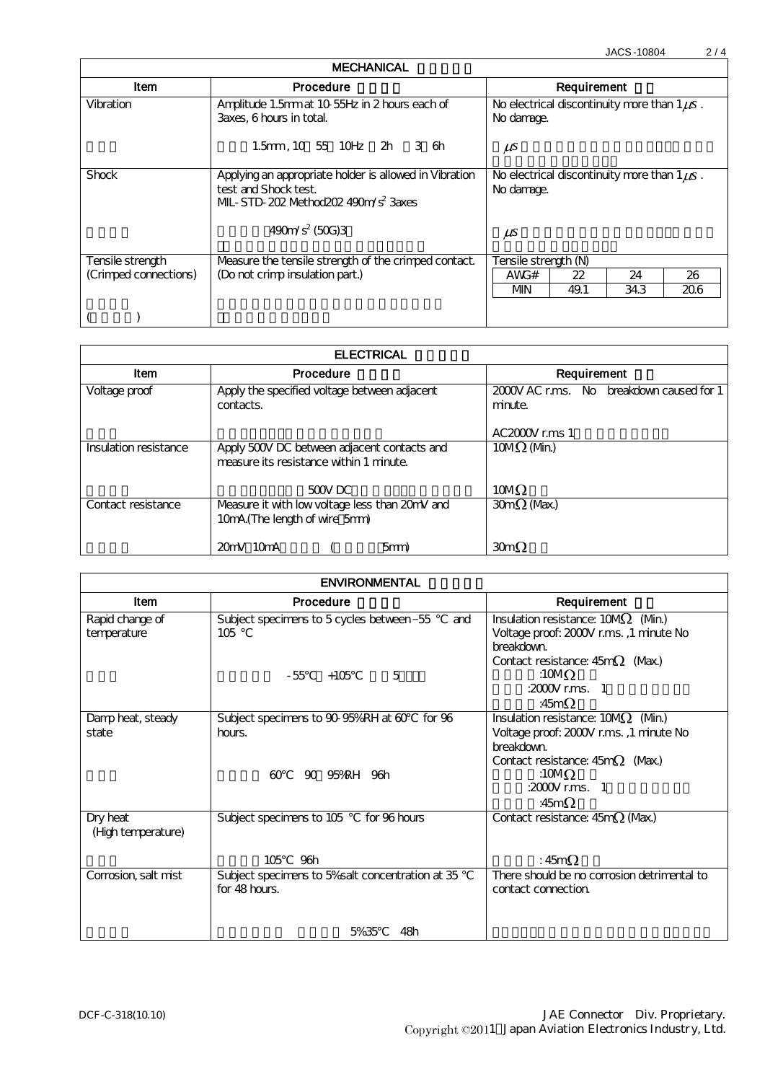JACS-10804 2/4

| <b>MECHANICAL</b>     |                                                                                                                                 |                                                                 |  |  |
|-----------------------|---------------------------------------------------------------------------------------------------------------------------------|-----------------------------------------------------------------|--|--|
| ltem                  | Procedure                                                                                                                       | Requirement                                                     |  |  |
| Vibration             | Amplitude 1.5mm at 10 55Hz in 2 hours each of<br>3 axes. 6 hours in total                                                       | No electrical discontinuity more than $1 \mu s$ .<br>No damage. |  |  |
|                       | 1.5mm, 10 55 10Hz $2h$ 3 6h                                                                                                     | $\mu s$                                                         |  |  |
| Shock                 | Applying an appropriate holder is allowed in Vibration<br>test and Shock test.<br>$ML$ STD $202$ Method $202$ $490m/s^2$ 3 axes | No electrical discontinuity more than $1 \mu s$ .<br>No damage. |  |  |
|                       | $490m/s^2$ (50G)3                                                                                                               | $\mu s$                                                         |  |  |
| Tensile strength      | Measure the tensile strength of the crimped contact.                                                                            | Tensile strength (N)                                            |  |  |
| (Crimped connections) | (Do not crimp insulation part.)                                                                                                 | AWG#<br>26<br>22<br>24                                          |  |  |
|                       |                                                                                                                                 | MN<br>49.1<br>206<br>343                                        |  |  |
|                       |                                                                                                                                 |                                                                 |  |  |

| <b>ELECTRICAL</b>     |                                                                                        |                                                     |  |
|-----------------------|----------------------------------------------------------------------------------------|-----------------------------------------------------|--|
| <b>Item</b>           | Procedure                                                                              | Requirement                                         |  |
| Voltage proof         | Apply the specified voltage between adjacent<br>contacts.                              | 2000V AC r.ms. No breakdown caused for 1<br>minute. |  |
|                       |                                                                                        | $AC200W$ rms 1                                      |  |
| Insulation resistance | Apply 500V DC between adjacent contacts and<br>measure its resistance within 1 minute. | $10M\Omega$ (Mn)                                    |  |
|                       | 500V <sub>DC</sub>                                                                     | $10M\Omega$                                         |  |
| Contact resistance    | Measure it with low voltage less than 20mV and                                         | $30m\Omega$ (Max)                                   |  |
|                       | 10mA (The length of wire 5mm)                                                          |                                                     |  |
|                       | $20mV$ 10 $mA$<br>$5$ mm $)$                                                           | $30m\Omega$                                         |  |

| <b>ENVIRONMENTAL</b>           |                                                                                                    |                                                                                                                                                                                              |  |
|--------------------------------|----------------------------------------------------------------------------------------------------|----------------------------------------------------------------------------------------------------------------------------------------------------------------------------------------------|--|
| <b>Item</b>                    | Procedure                                                                                          | Requirement                                                                                                                                                                                  |  |
| Rapid change of<br>temperature | Subject specimens to 5 cycles between-55<br>and<br>105<br>5<br>$+105$<br>- 55                      | Insulation resistance: $10M2$ (Mn)<br>Voltage proof: 2000V r.ms., 1 minute No<br>breakdown<br>Contact resistance: $45m\Omega$ (Max)<br>:10M $\Omega$<br>:2000 $V$ r.ms. 1<br>:45m $\Omega$   |  |
| Damp heat, steady<br>state     | Subject specimens to 90 95%RH at 60<br>for $96$<br>hours.<br>$\infty$<br>95%RH 96h<br>$90^{\circ}$ | Insulation resistance: $10M2$ (Min)<br>Voltage proof: 2000V r.ms., 1 minute No<br>breakdown.<br>Contact resistance: $45m\Omega$ (Max)<br>:10 $M\Omega$<br>:2000 $V$ r.ms. 1<br>:45m $\Omega$ |  |
| Dry heat<br>(High temperature) | for 96 hours<br>Subject specimens to 105<br>105<br>96h                                             | Contact resistance: $45m\Omega$ (Max.)<br>: $45m\Omega$                                                                                                                                      |  |
| Corrosion, salt mist           | Subject specimens to 5% salt concentration at 35<br>for $48 \text{ hours}$ .<br>48h<br>5%35        | There should be no corrosion detrimental to<br>contact connection                                                                                                                            |  |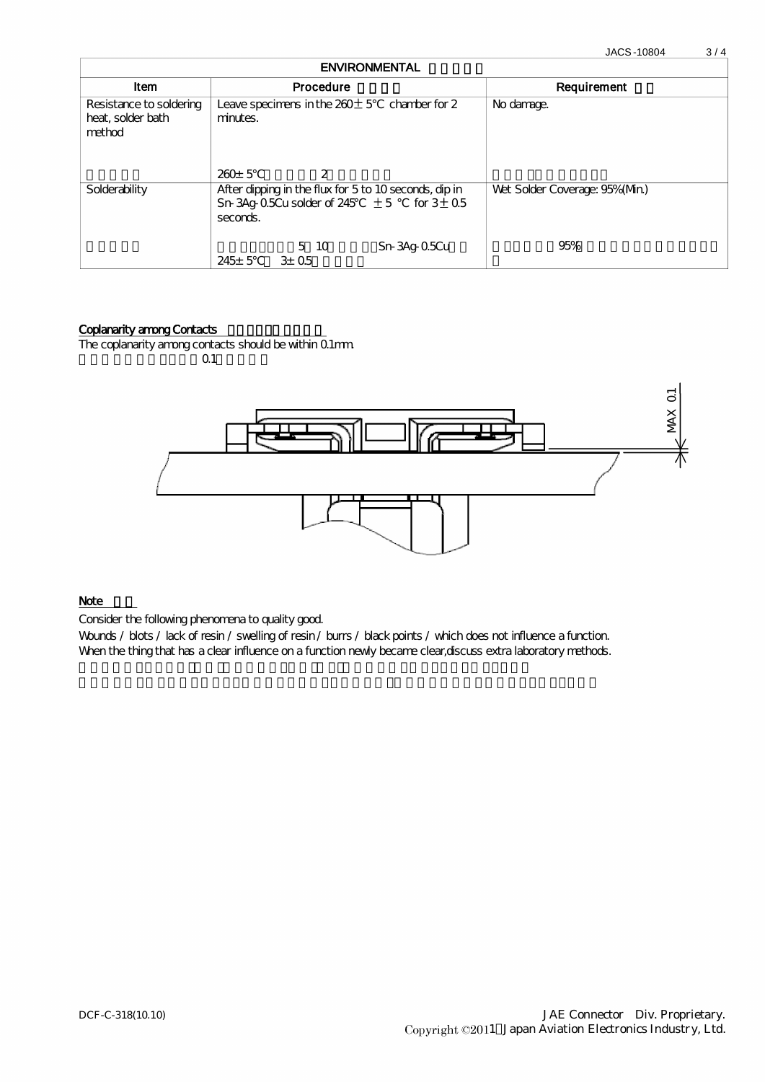JACS-10804 3 / 4

| <b>ENVIRONMENTAL</b>                                   |                                                                                                                        |                              |  |  |
|--------------------------------------------------------|------------------------------------------------------------------------------------------------------------------------|------------------------------|--|--|
| <b>Item</b>                                            | Procedure                                                                                                              | Requirement                  |  |  |
| Resistance to soldering<br>heat, solder bath<br>method | Leave speciments in the $260±5$ chamber for 2<br>minutes.<br>$260 \pm 5$<br>2                                          | No damage.                   |  |  |
| Solderability                                          | After dipping in the flux for 5 to 10 seconds, dip in<br>Sn 3Ag 05Cu solder of 245 $\pm$ 5 for 3 $\pm$ 0.5<br>seconds. | Wet Solder Coverage: 95%(Mn) |  |  |
|                                                        | 5 10<br>Sn-3Ag-05Cu<br>$245 \pm 5$<br>$3E$ 0.5                                                                         | 95%                          |  |  |

## Coplanarity among Contacts

The coplanarity among contacts should be within 0.1mm.  $0.1$ 



## Note

Consider the following phenomena to quality good.

Wounds / blots / lack of resin / swelling of resin / burrs / black points / which does not influence a function. When the thing that has a clear influence on a function newly became clear, discuss extra laboratory methods.